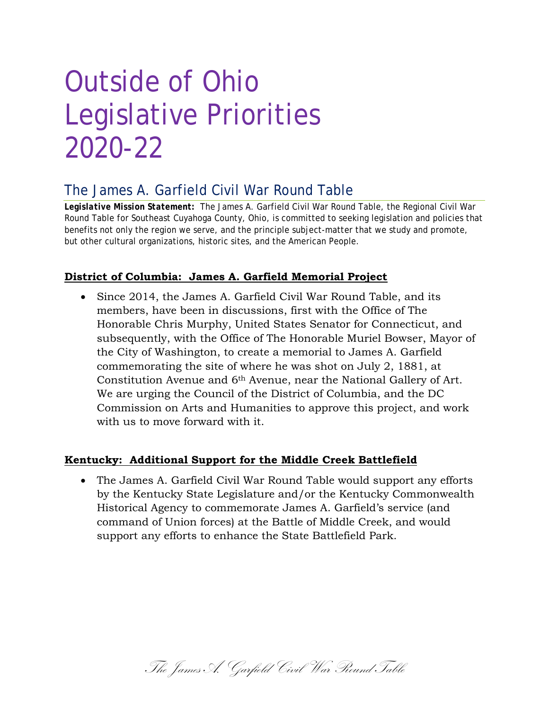# Outside of Ohio Legislative Priorities 2020-22

## The James A. Garfield Civil War Round Table

*Legislative Mission Statement:* The James A. Garfield Civil War Round Table, the Regional Civil War Round Table for Southeast Cuyahoga County, Ohio, is committed to seeking legislation and policies that benefits not only the region we serve, and the principle subject-matter that we study and promote, but other cultural organizations, historic sites, and the American People.

## **District of Columbia: James A. Garfield Memorial Project**

• Since 2014, the James A. Garfield Civil War Round Table, and its members, have been in discussions, first with the Office of The Honorable Chris Murphy, United States Senator for Connecticut, and subsequently, with the Office of The Honorable Muriel Bowser, Mayor of the City of Washington, to create a memorial to James A. Garfield commemorating the site of where he was shot on July 2, 1881, at Constitution Avenue and 6th Avenue, near the National Gallery of Art. We are urging the Council of the District of Columbia, and the DC Commission on Arts and Humanities to approve this project, and work with us to move forward with it.

## **Kentucky: Additional Support for the Middle Creek Battlefield**

• The James A. Garfield Civil War Round Table would support any efforts by the Kentucky State Legislature and/or the Kentucky Commonwealth Historical Agency to commemorate James A. Garfield's service (and command of Union forces) at the Battle of Middle Creek, and would support any efforts to enhance the State Battlefield Park.

The James A. Garfield Civil War Round Table